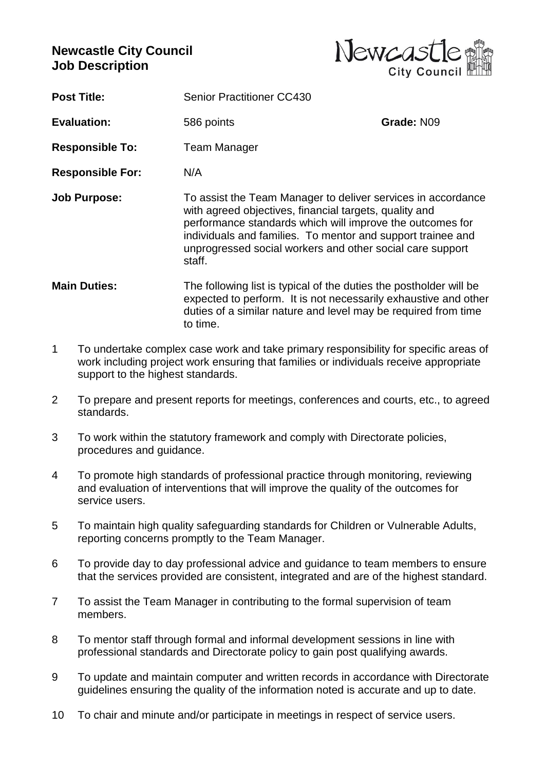## **Newcastle City Council Job Description**



**Post Title:** Senior Practitioner CC430

**Evaluation:** 586 points **Grade: N09** 

**Responsible To:** Team Manager

**Responsible For:** N/A

- **Job Purpose:** To assist the Team Manager to deliver services in accordance with agreed objectives, financial targets, quality and performance standards which will improve the outcomes for individuals and families. To mentor and support trainee and unprogressed social workers and other social care support staff.
- **Main Duties:** The following list is typical of the duties the postholder will be expected to perform. It is not necessarily exhaustive and other duties of a similar nature and level may be required from time to time.
- 1 To undertake complex case work and take primary responsibility for specific areas of work including project work ensuring that families or individuals receive appropriate support to the highest standards.
- 2 To prepare and present reports for meetings, conferences and courts, etc., to agreed standards.
- 3 To work within the statutory framework and comply with Directorate policies, procedures and guidance.
- 4 To promote high standards of professional practice through monitoring, reviewing and evaluation of interventions that will improve the quality of the outcomes for service users.
- 5 To maintain high quality safeguarding standards for Children or Vulnerable Adults, reporting concerns promptly to the Team Manager.
- 6 To provide day to day professional advice and guidance to team members to ensure that the services provided are consistent, integrated and are of the highest standard.
- 7 To assist the Team Manager in contributing to the formal supervision of team members.
- 8 To mentor staff through formal and informal development sessions in line with professional standards and Directorate policy to gain post qualifying awards.
- 9 To update and maintain computer and written records in accordance with Directorate guidelines ensuring the quality of the information noted is accurate and up to date.
- 10 To chair and minute and/or participate in meetings in respect of service users.